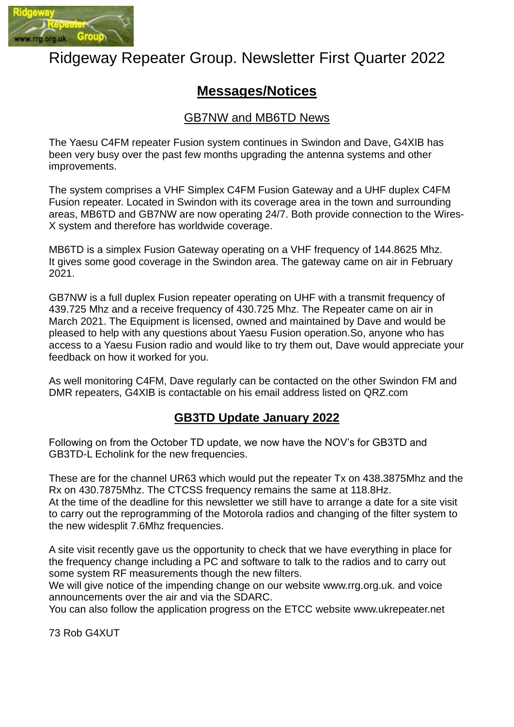

# Ridgeway Repeater Group. Newsletter First Quarter 2022

# **Messages/Notices**

### GB7NW and MB6TD News

The Yaesu C4FM repeater Fusion system continues in Swindon and Dave, G4XIB has been very busy over the past few months upgrading the antenna systems and other improvements.

The system comprises a VHF Simplex C4FM Fusion Gateway and a UHF duplex C4FM Fusion repeater. Located in Swindon with its coverage area in the town and surrounding areas, MB6TD and GB7NW are now operating 24/7. Both provide connection to the Wires-X system and therefore has worldwide coverage.

MB6TD is a simplex Fusion Gateway operating on a VHF frequency of 144.8625 Mhz. It gives some good coverage in the Swindon area. The gateway came on air in February 2021.

GB7NW is a full duplex Fusion repeater operating on UHF with a transmit frequency of 439.725 Mhz and a receive frequency of 430.725 Mhz. The Repeater came on air in March 2021. The Equipment is licensed, owned and maintained by Dave and would be pleased to help with any questions about Yaesu Fusion operation.So, anyone who has access to a Yaesu Fusion radio and would like to try them out, Dave would appreciate your feedback on how it worked for you.

As well monitoring C4FM, Dave regularly can be contacted on the other Swindon FM and DMR repeaters, G4XIB is contactable on his email address listed on QRZ.com

### **GB3TD Update January 2022**

Following on from the October TD update, we now have the NOV's for GB3TD and GB3TD-L Echolink for the new frequencies.

These are for the channel UR63 which would put the repeater Tx on 438.3875Mhz and the Rx on 430.7875Mhz. The CTCSS frequency remains the same at 118.8Hz.

At the time of the deadline for this newsletter we still have to arrange a date for a site visit to carry out the reprogramming of the Motorola radios and changing of the filter system to the new widesplit 7.6Mhz frequencies.

A site visit recently gave us the opportunity to check that we have everything in place for the frequency change including a PC and software to talk to the radios and to carry out some system RF measurements though the new filters.

We will give notice of the impending change on our website www.rrg.org.uk. and voice announcements over the air and via the SDARC.

You can also follow the application progress on the ETCC website www.ukrepeater.net

73 Rob G4XUT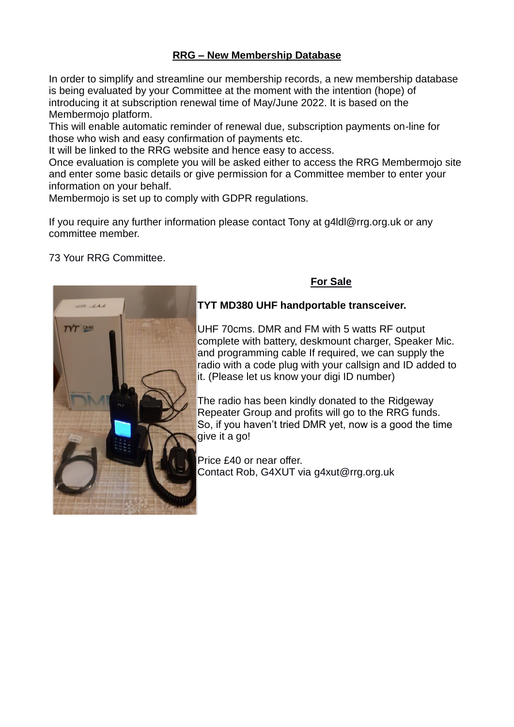#### **RRG – New Membership Database**

In order to simplify and streamline our membership records, a new membership database is being evaluated by your Committee at the moment with the intention (hope) of introducing it at subscription renewal time of May/June 2022. It is based on the Membermojo platform.

This will enable automatic reminder of renewal due, subscription payments on-line for those who wish and easy confirmation of payments etc.

It will be linked to the RRG website and hence easy to access.

Once evaluation is complete you will be asked either to access the RRG Membermojo site and enter some basic details or give permission for a Committee member to enter your information on your behalf.

Membermojo is set up to comply with GDPR regulations.

If you require any further information please contact Tony at g4ldl@rrg.org.uk or any committee member.

#### 73 Your RRG Committee.



### **For Sale**

#### **TYT MD380 UHF handportable transceiver.**

UHF 70cms. DMR and FM with 5 watts RF output complete with battery, deskmount charger, Speaker Mic. and programming cable If required, we can supply the radio with a code plug with your callsign and ID added to it. (Please let us know your digi ID number)

The radio has been kindly donated to the Ridgeway Repeater Group and profits will go to the RRG funds. So, if you haven't tried DMR yet, now is a good the time give it a go!

Price £40 or near offer. Contact Rob, G4XUT via [g4xut@rrg.org.uk](mailto:g4xut@rrg.org.uk)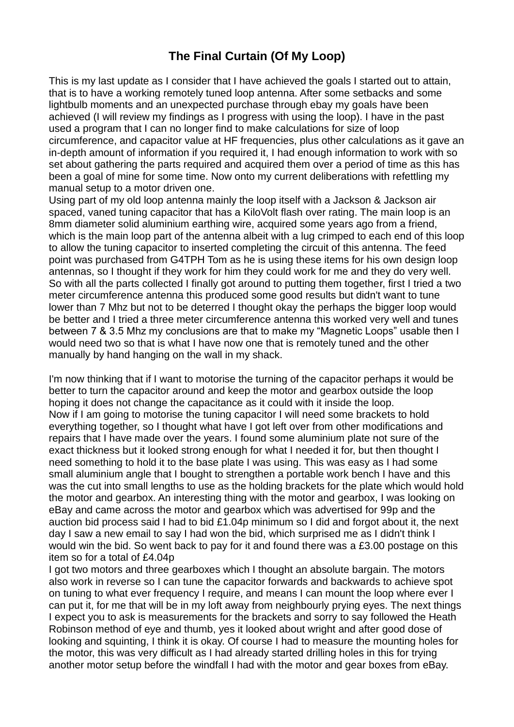# **The Final Curtain (Of My Loop)**

This is my last update as I consider that I have achieved the goals I started out to attain, that is to have a working remotely tuned loop antenna. After some setbacks and some lightbulb moments and an unexpected purchase through ebay my goals have been achieved (I will review my findings as I progress with using the loop). I have in the past used a program that I can no longer find to make calculations for size of loop circumference, and capacitor value at HF frequencies, plus other calculations as it gave an in-depth amount of information if you required it, I had enough information to work with so set about gathering the parts required and acquired them over a period of time as this has been a goal of mine for some time. Now onto my current deliberations with refettling my manual setup to a motor driven one.

Using part of my old loop antenna mainly the loop itself with a Jackson & Jackson air spaced, vaned tuning capacitor that has a KiloVolt flash over rating. The main loop is an 8mm diameter solid aluminium earthing wire, acquired some years ago from a friend, which is the main loop part of the antenna albeit with a lug crimped to each end of this loop to allow the tuning capacitor to inserted completing the circuit of this antenna. The feed point was purchased from G4TPH Tom as he is using these items for his own design loop antennas, so I thought if they work for him they could work for me and they do very well. So with all the parts collected I finally got around to putting them together, first I tried a two meter circumference antenna this produced some good results but didn't want to tune lower than 7 Mhz but not to be deterred I thought okay the perhaps the bigger loop would be better and I tried a three meter circumference antenna this worked very well and tunes between 7 & 3.5 Mhz my conclusions are that to make my "Magnetic Loops" usable then I would need two so that is what I have now one that is remotely tuned and the other manually by hand hanging on the wall in my shack.

I'm now thinking that if I want to motorise the turning of the capacitor perhaps it would be better to turn the capacitor around and keep the motor and gearbox outside the loop hoping it does not change the capacitance as it could with it inside the loop. Now if I am going to motorise the tuning capacitor I will need some brackets to hold everything together, so I thought what have I got left over from other modifications and repairs that I have made over the years. I found some aluminium plate not sure of the exact thickness but it looked strong enough for what I needed it for, but then thought I need something to hold it to the base plate I was using. This was easy as I had some small aluminium angle that I bought to strengthen a portable work bench I have and this was the cut into small lengths to use as the holding brackets for the plate which would hold the motor and gearbox. An interesting thing with the motor and gearbox, I was looking on eBay and came across the motor and gearbox which was advertised for 99p and the auction bid process said I had to bid £1.04p minimum so I did and forgot about it, the next day I saw a new email to say I had won the bid, which surprised me as I didn't think I would win the bid. So went back to pay for it and found there was a £3.00 postage on this item so for a total of £4.04p

I got two motors and three gearboxes which I thought an absolute bargain. The motors also work in reverse so I can tune the capacitor forwards and backwards to achieve spot on tuning to what ever frequency I require, and means I can mount the loop where ever I can put it, for me that will be in my loft away from neighbourly prying eyes. The next things I expect you to ask is measurements for the brackets and sorry to say followed the Heath Robinson method of eye and thumb, yes it looked about wright and after good dose of looking and squinting, I think it is okay. Of course I had to measure the mounting holes for the motor, this was very difficult as I had already started drilling holes in this for trying another motor setup before the windfall I had with the motor and gear boxes from eBay.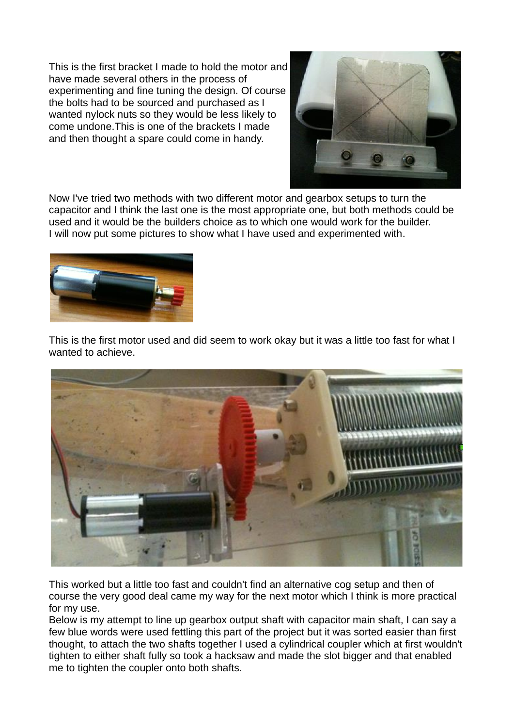This is the first bracket I made to hold the motor and have made several others in the process of experimenting and fine tuning the design. Of course the bolts had to be sourced and purchased as I wanted nylock nuts so they would be less likely to come undone.This is one of the brackets I made and then thought a spare could come in handy.



Now I've tried two methods with two different motor and gearbox setups to turn the capacitor and I think the last one is the most appropriate one, but both methods could be used and it would be the builders choice as to which one would work for the builder. I will now put some pictures to show what I have used and experimented with.



This is the first motor used and did seem to work okay but it was a little too fast for what I wanted to achieve.



This worked but a little too fast and couldn't find an alternative cog setup and then of course the very good deal came my way for the next motor which I think is more practical for my use.

Below is my attempt to line up gearbox output shaft with capacitor main shaft, I can say a few blue words were used fettling this part of the project but it was sorted easier than first thought, to attach the two shafts together I used a cylindrical coupler which at first wouldn't tighten to either shaft fully so took a hacksaw and made the slot bigger and that enabled me to tighten the coupler onto both shafts.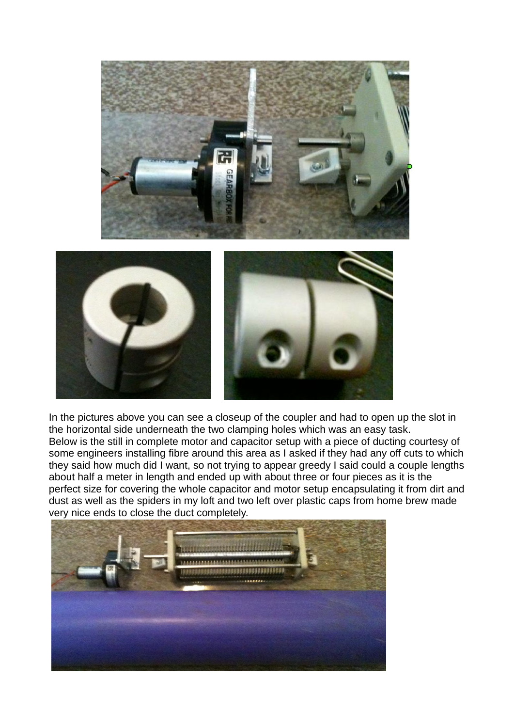

In the pictures above you can see a closeup of the coupler and had to open up the slot in the horizontal side underneath the two clamping holes which was an easy task. Below is the still in complete motor and capacitor setup with a piece of ducting courtesy of some engineers installing fibre around this area as I asked if they had any off cuts to which they said how much did I want, so not trying to appear greedy I said could a couple lengths about half a meter in length and ended up with about three or four pieces as it is the perfect size for covering the whole capacitor and motor setup encapsulating it from dirt and dust as well as the spiders in my loft and two left over plastic caps from home brew made very nice ends to close the duct completely.

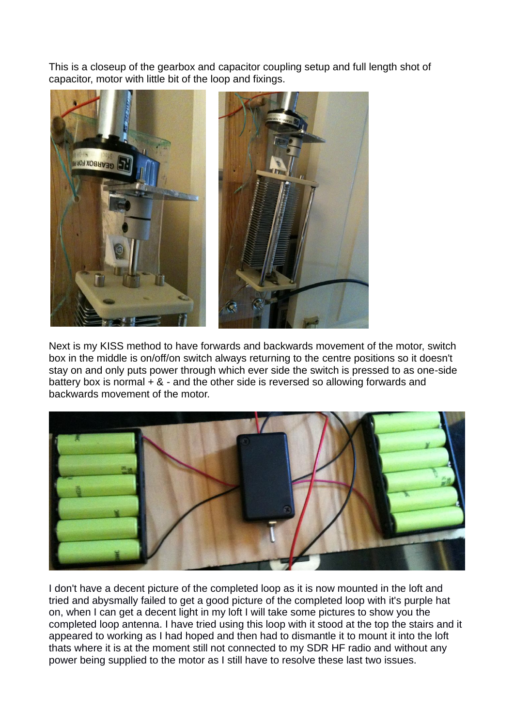This is a closeup of the gearbox and capacitor coupling setup and full length shot of capacitor, motor with little bit of the loop and fixings.



Next is my KISS method to have forwards and backwards movement of the motor, switch box in the middle is on/off/on switch always returning to the centre positions so it doesn't stay on and only puts power through which ever side the switch is pressed to as one-side battery box is normal  $+ 8 -$  and the other side is reversed so allowing forwards and backwards movement of the motor.



I don't have a decent picture of the completed loop as it is now mounted in the loft and tried and abysmally failed to get a good picture of the completed loop with it's purple hat on, when I can get a decent light in my loft I will take some pictures to show you the completed loop antenna. I have tried using this loop with it stood at the top the stairs and it appeared to working as I had hoped and then had to dismantle it to mount it into the loft thats where it is at the moment still not connected to my SDR HF radio and without any power being supplied to the motor as I still have to resolve these last two issues.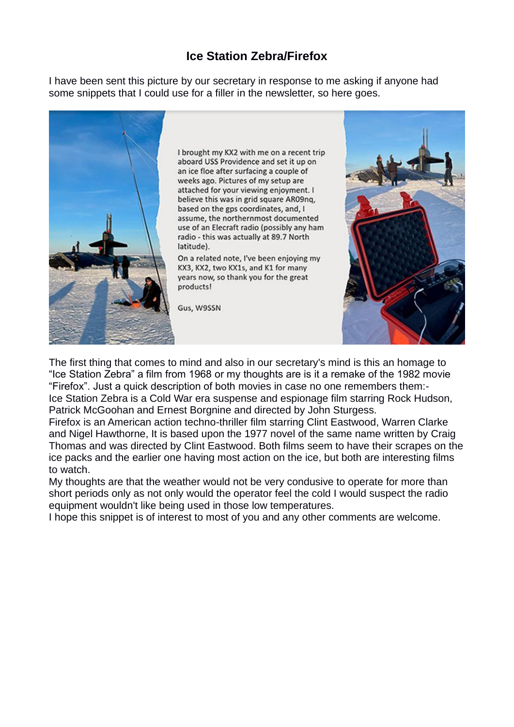### **Ice Station Zebra/Firefox**

I have been sent this picture by our secretary in response to me asking if anyone had some snippets that I could use for a filler in the newsletter, so here goes.



I brought my KX2 with me on a recent trip aboard USS Providence and set it up on an ice floe after surfacing a couple of weeks ago. Pictures of my setup are attached for your viewing enjoyment. I believe this was in grid square AR09nq, based on the gps coordinates, and, I assume, the northernmost documented use of an Elecraft radio (possibly any ham radio - this was actually at 89.7 North latitude).

On a related note, I've been enjoying my KX3, KX2, two KX1s, and K1 for many years now, so thank you for the great products!

Gus, W9SSN



The first thing that comes to mind and also in our secretary's mind is this an homage to "Ice Station Zebra" a film from 1968 or my thoughts are is it a remake of the 1982 movie "Firefox". Just a quick description of both movies in case no one remembers them:- Ice Station Zebra is a Cold War era suspense and espionage film starring Rock Hudson, Patrick McGoohan and Ernest Borgnine and directed by John Sturgess.

Firefox is an American action techno-thriller film starring Clint Eastwood, Warren Clarke and Nigel Hawthorne, It is based upon the 1977 novel of the same name written by Craig Thomas and was directed by Clint Eastwood. Both films seem to have their scrapes on the ice packs and the earlier one having most action on the ice, but both are interesting films to watch.

My thoughts are that the weather would not be very condusive to operate for more than short periods only as not only would the operator feel the cold I would suspect the radio equipment wouldn't like being used in those low temperatures.

I hope this snippet is of interest to most of you and any other comments are welcome.